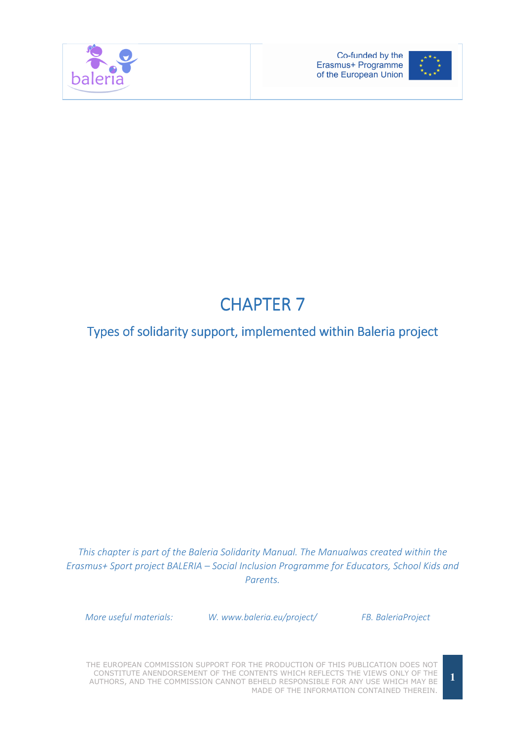



# **CHAPTER 7**

# Types of solidarity support, implemented within Baleria project

This chapter is part of the Baleria Solidarity Manual. The Manualwas created within the Erasmus+ Sport project BALERIA – Social Inclusion Programme for Educators, School Kids and Parents.

More useful materials: W. www.baleria.eu/project/ FB. BaleriaProject

THE EUROPEAN COMMISSION SUPPORT FOR THE PRODUCTION OF THIS PUBLICATION DOES NOT CONSTITUTE ANENDORSEMENT OF THE CONTENTS WHICH REFLECTS THE VIEWS ONLY OF THE AUTHORS, AND THE COMMISSION CANNOT BEHELD RESPONSIBLE FOR ANY USE WHICH MAY BE MADE OF THE INFORMATION CONTAINED THEREIN.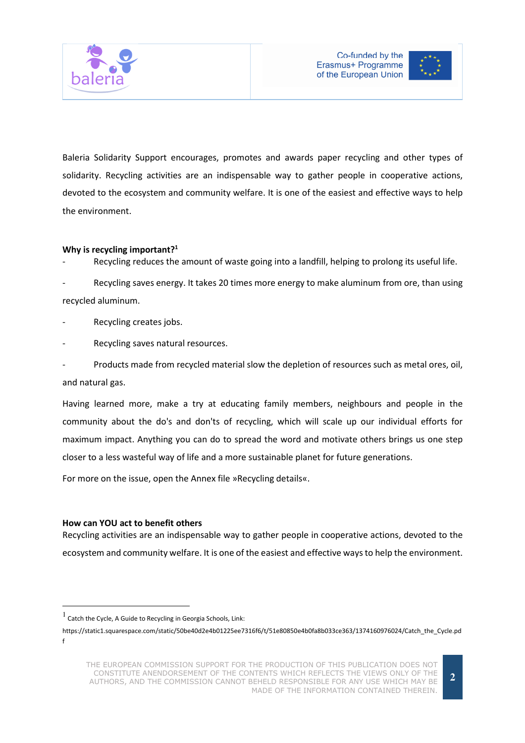



Baleria Solidarity Support encourages, promotes and awards paper recycling and other types of solidarity. Recycling activities are an indispensable way to gather people in cooperative actions, devoted to the ecosystem and community welfare. It is one of the easiest and effective ways to help the environment.

#### Why is recycling important?<sup>1</sup>

Recycling reduces the amount of waste going into a landfill, helping to prolong its useful life.

Recycling saves energy. It takes 20 times more energy to make aluminum from ore, than using recycled aluminum.

Recycling creates jobs.

Recycling saves natural resources.

Products made from recycled material slow the depletion of resources such as metal ores, oil, and natural gas.

Having learned more, make a try at educating family members, neighbours and people in the community about the do's and don'ts of recycling, which will scale up our individual efforts for maximum impact. Anything you can do to spread the word and motivate others brings us one step closer to a less wasteful way of life and a more sustainable planet for future generations.

For more on the issue, open the Annex file »Recycling details«.

#### How can YOU act to benefit others

 $\overline{a}$ 

Recycling activities are an indispensable way to gather people in cooperative actions, devoted to the ecosystem and community welfare. It is one of the easiest and effective ways to help the environment.

<sup>1</sup> Catch the Cycle, A Guide to Recycling in Georgia Schools, Link:

https://static1.squarespace.com/static/50be40d2e4b01225ee7316f6/t/51e80850e4b0fa8b033ce363/1374160976024/Catch\_the\_Cycle.pd f

THE EUROPEAN COMMISSION SUPPORT FOR THE PRODUCTION OF THIS PUBLICATION DOES NOT CONSTITUTE ANENDORSEMENT OF THE CONTENTS WHICH REFLECTS THE VIEWS ONLY OF THE AUTHORS, AND THE COMMISSION CANNOT BEHELD RESPONSIBLE FOR ANY USE WHICH MAY BE MADE OF THE INFORMATION CONTAINED THEREIN.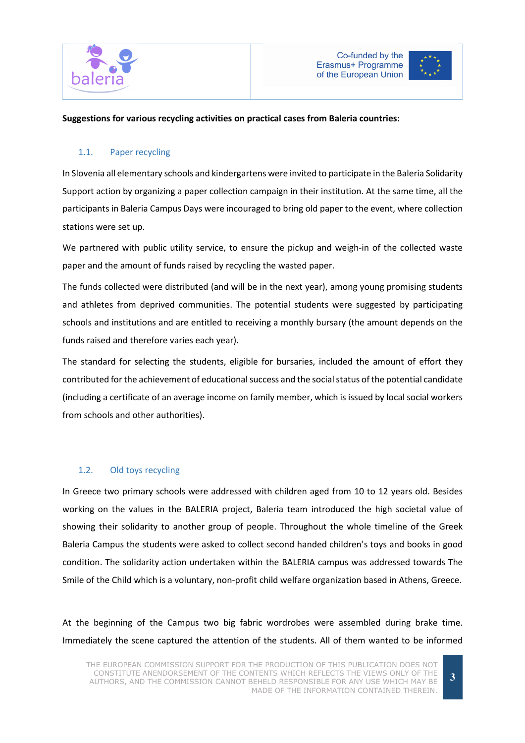



#### Suggestions for various recycling activities on practical cases from Baleria countries:

#### 1.1. Paper recycling

In Slovenia all elementary schools and kindergartens were invited to participate in the Baleria Solidarity Support action by organizing a paper collection campaign in their institution. At the same time, all the participants in Baleria Campus Days were incouraged to bring old paper to the event, where collection stations were set up.

We partnered with public utility service, to ensure the pickup and weigh-in of the collected waste paper and the amount of funds raised by recycling the wasted paper.

The funds collected were distributed (and will be in the next year), among young promising students and athletes from deprived communities. The potential students were suggested by participating schools and institutions and are entitled to receiving a monthly bursary (the amount depends on the funds raised and therefore varies each year).

The standard for selecting the students, eligible for bursaries, included the amount of effort they contributed for the achievement of educational success and the social status of the potential candidate (including a certificate of an average income on family member, which is issued by local social workers from schools and other authorities).

#### 1.2. Old toys recycling

In Greece two primary schools were addressed with children aged from 10 to 12 years old. Besides working on the values in the BALERIA project, Baleria team introduced the high societal value of showing their solidarity to another group of people. Throughout the whole timeline of the Greek Baleria Campus the students were asked to collect second handed children's toys and books in good condition. The solidarity action undertaken within the BALERIA campus was addressed towards The Smile of the Child which is a voluntary, non-profit child welfare organization based in Athens, Greece.

At the beginning of the Campus two big fabric wordrobes were assembled during brake time. Immediately the scene captured the attention of the students. All of them wanted to be informed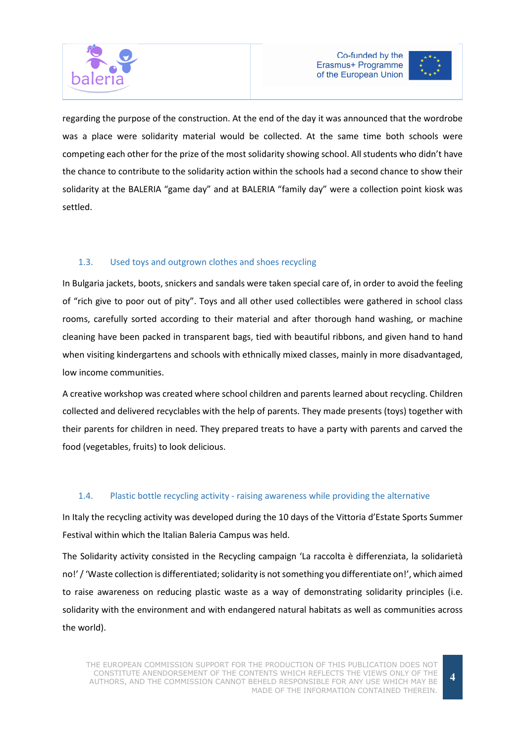





regarding the purpose of the construction. At the end of the day it was announced that the wordrobe was a place were solidarity material would be collected. At the same time both schools were competing each other for the prize of the most solidarity showing school. All students who didn't have the chance to contribute to the solidarity action within the schools had a second chance to show their solidarity at the BALERIA "game day" and at BALERIA "family day" were a collection point kiosk was settled.

## 1.3. Used toys and outgrown clothes and shoes recycling

In Bulgaria jackets, boots, snickers and sandals were taken special care of, in order to avoid the feeling of "rich give to poor out of pity". Toys and all other used collectibles were gathered in school class rooms, carefully sorted according to their material and after thorough hand washing, or machine cleaning have been packed in transparent bags, tied with beautiful ribbons, and given hand to hand when visiting kindergartens and schools with ethnically mixed classes, mainly in more disadvantaged, low income communities.

A creative workshop was created where school children and parents learned about recycling. Children collected and delivered recyclables with the help of parents. They made presents (toys) together with their parents for children in need. They prepared treats to have a party with parents and carved the food (vegetables, fruits) to look delicious.

## 1.4. Plastic bottle recycling activity - raising awareness while providing the alternative

In Italy the recycling activity was developed during the 10 days of the Vittoria d'Estate Sports Summer Festival within which the Italian Baleria Campus was held.

The Solidarity activity consisted in the Recycling campaign 'La raccolta è differenziata, la solidarietà no!' / 'Waste collection is differentiated; solidarity is not something you differentiate on!', which aimed to raise awareness on reducing plastic waste as a way of demonstrating solidarity principles (i.e. solidarity with the environment and with endangered natural habitats as well as communities across the world).